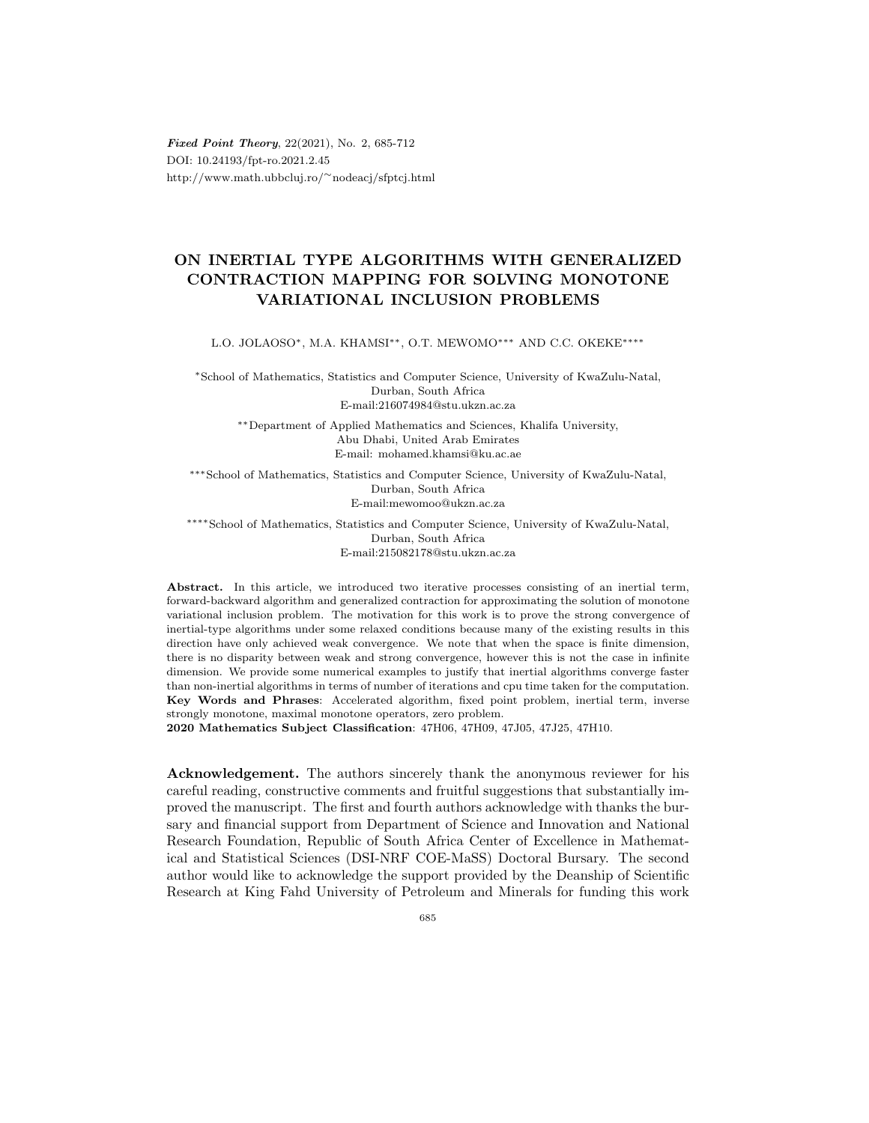Fixed Point Theory, 22(2021), No. 2, 685-712 DOI: 10.24193/fpt-ro.2021.2.45 http://www.math.ubbcluj.ro/∼nodeacj/sfptcj.html

## ON INERTIAL TYPE ALGORITHMS WITH GENERALIZED CONTRACTION MAPPING FOR SOLVING MONOTONE VARIATIONAL INCLUSION PROBLEMS

L.O. JOLAOSO∗, M.A. KHAMSI∗∗, O.T. MEWOMO∗∗∗ AND C.C. OKEKE∗∗∗∗

<sup>∗</sup>School of Mathematics, Statistics and Computer Science, University of KwaZulu-Natal, Durban, South Africa E-mail:216074984@stu.ukzn.ac.za

∗∗Department of Applied Mathematics and Sciences, Khalifa University, Abu Dhabi, United Arab Emirates E-mail: mohamed.khamsi@ku.ac.ae

∗∗∗School of Mathematics, Statistics and Computer Science, University of KwaZulu-Natal, Durban, South Africa E-mail:mewomoo@ukzn.ac.za

∗∗∗∗School of Mathematics, Statistics and Computer Science, University of KwaZulu-Natal, Durban, South Africa E-mail:215082178@stu.ukzn.ac.za

Abstract. In this article, we introduced two iterative processes consisting of an inertial term, forward-backward algorithm and generalized contraction for approximating the solution of monotone variational inclusion problem. The motivation for this work is to prove the strong convergence of inertial-type algorithms under some relaxed conditions because many of the existing results in this direction have only achieved weak convergence. We note that when the space is finite dimension, there is no disparity between weak and strong convergence, however this is not the case in infinite dimension. We provide some numerical examples to justify that inertial algorithms converge faster than non-inertial algorithms in terms of number of iterations and cpu time taken for the computation. Key Words and Phrases: Accelerated algorithm, fixed point problem, inertial term, inverse strongly monotone, maximal monotone operators, zero problem.

2020 Mathematics Subject Classification: 47H06, 47H09, 47J05, 47J25, 47H10.

Acknowledgement. The authors sincerely thank the anonymous reviewer for his careful reading, constructive comments and fruitful suggestions that substantially improved the manuscript. The first and fourth authors acknowledge with thanks the bursary and financial support from Department of Science and Innovation and National Research Foundation, Republic of South Africa Center of Excellence in Mathematical and Statistical Sciences (DSI-NRF COE-MaSS) Doctoral Bursary. The second author would like to acknowledge the support provided by the Deanship of Scientific Research at King Fahd University of Petroleum and Minerals for funding this work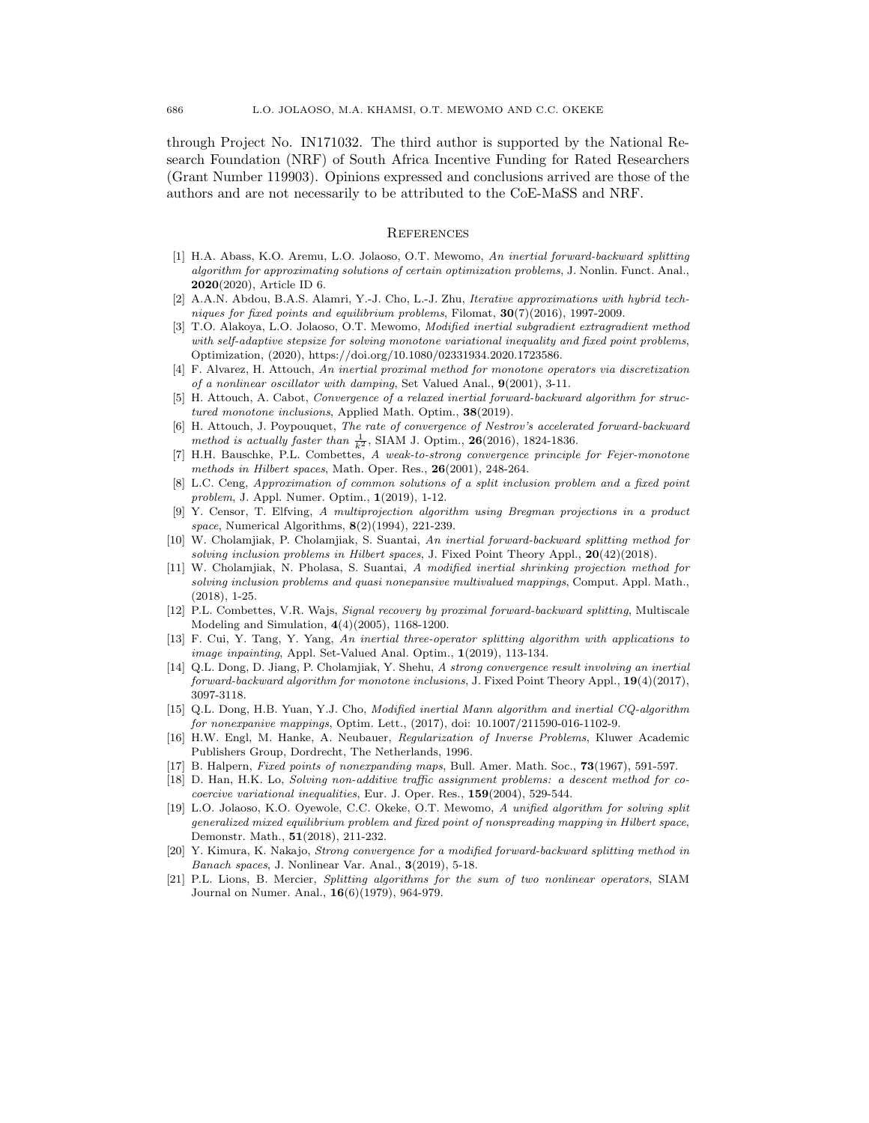through Project No. IN171032. The third author is supported by the National Research Foundation (NRF) of South Africa Incentive Funding for Rated Researchers (Grant Number 119903). Opinions expressed and conclusions arrived are those of the authors and are not necessarily to be attributed to the CoE-MaSS and NRF.

## **REFERENCES**

- [1] H.A. Abass, K.O. Aremu, L.O. Jolaoso, O.T. Mewomo, An inertial forward-backward splitting algorithm for approximating solutions of certain optimization problems, J. Nonlin. Funct. Anal., 2020(2020), Article ID 6.
- [2] A.A.N. Abdou, B.A.S. Alamri, Y.-J. Cho, L.-J. Zhu, Iterative approximations with hybrid techniques for fixed points and equilibrium problems, Filomat,  $30(7)(2016)$ , 1997-2009.
- [3] T.O. Alakoya, L.O. Jolaoso, O.T. Mewomo, Modified inertial subgradient extragradient method with self-adaptive stepsize for solving monotone variational inequality and fixed point problems, Optimization, (2020), https://doi.org/10.1080/02331934.2020.1723586.
- [4] F. Alvarez, H. Attouch, An inertial proximal method for monotone operators via discretization of a nonlinear oscillator with damping, Set Valued Anal., 9(2001), 3-11.
- [5] H. Attouch, A. Cabot, Convergence of a relaxed inertial forward-backward algorithm for structured monotone inclusions, Applied Math. Optim., 38(2019).
- [6] H. Attouch, J. Poypouquet, The rate of convergence of Nestrov's accelerated forward-backward method is actually faster than  $\frac{1}{k^2}$ , SIAM J. Optim., 26(2016), 1824-1836.
- [7] H.H. Bauschke, P.L. Combettes, A weak-to-strong convergence principle for Fejer-monotone methods in Hilbert spaces, Math. Oper. Res., 26(2001), 248-264.
- [8] L.C. Ceng, Approximation of common solutions of a split inclusion problem and a fixed point problem, J. Appl. Numer. Optim., 1(2019), 1-12.
- [9] Y. Censor, T. Elfving, A multiprojection algorithm using Bregman projections in a product space, Numerical Algorithms, 8(2)(1994), 221-239.
- [10] W. Cholamjiak, P. Cholamjiak, S. Suantai, An inertial forward-backward splitting method for solving inclusion problems in Hilbert spaces, J. Fixed Point Theory Appl.,  $20(42)(2018)$ .
- [11] W. Cholamjiak, N. Pholasa, S. Suantai, A modified inertial shrinking projection method for solving inclusion problems and quasi nonepansive multivalued mappings, Comput. Appl. Math., (2018), 1-25.
- [12] P.L. Combettes, V.R. Wajs, Signal recovery by proximal forward-backward splitting, Multiscale Modeling and Simulation, 4(4)(2005), 1168-1200.
- [13] F. Cui, Y. Tang, Y. Yang, An inertial three-operator splitting algorithm with applications to image inpainting, Appl. Set-Valued Anal. Optim., 1(2019), 113-134.
- [14] Q.L. Dong, D. Jiang, P. Cholamjiak, Y. Shehu, A strong convergence result involving an inertial forward-backward algorithm for monotone inclusions, J. Fixed Point Theory Appl.,  $19(4)(2017)$ , 3097-3118.
- [15] Q.L. Dong, H.B. Yuan, Y.J. Cho, Modified inertial Mann algorithm and inertial CQ-algorithm for nonexpanive mappings, Optim. Lett., (2017), doi: 10.1007/211590-016-1102-9.
- [16] H.W. Engl, M. Hanke, A. Neubauer, Regularization of Inverse Problems, Kluwer Academic Publishers Group, Dordrecht, The Netherlands, 1996.
- [17] B. Halpern, Fixed points of nonexpanding maps, Bull. Amer. Math. Soc., 73(1967), 591-597.
- [18] D. Han, H.K. Lo, Solving non-additive traffic assignment problems: a descent method for cocoercive variational inequalities, Eur. J. Oper. Res., 159(2004), 529-544.
- [19] L.O. Jolaoso, K.O. Oyewole, C.C. Okeke, O.T. Mewomo, A unified algorithm for solving split generalized mixed equilibrium problem and fixed point of nonspreading mapping in Hilbert space, Demonstr. Math., 51(2018), 211-232.
- [20] Y. Kimura, K. Nakajo, Strong convergence for a modified forward-backward splitting method in Banach spaces, J. Nonlinear Var. Anal., 3(2019), 5-18.
- [21] P.L. Lions, B. Mercier, Splitting algorithms for the sum of two nonlinear operators, SIAM Journal on Numer. Anal., 16(6)(1979), 964-979.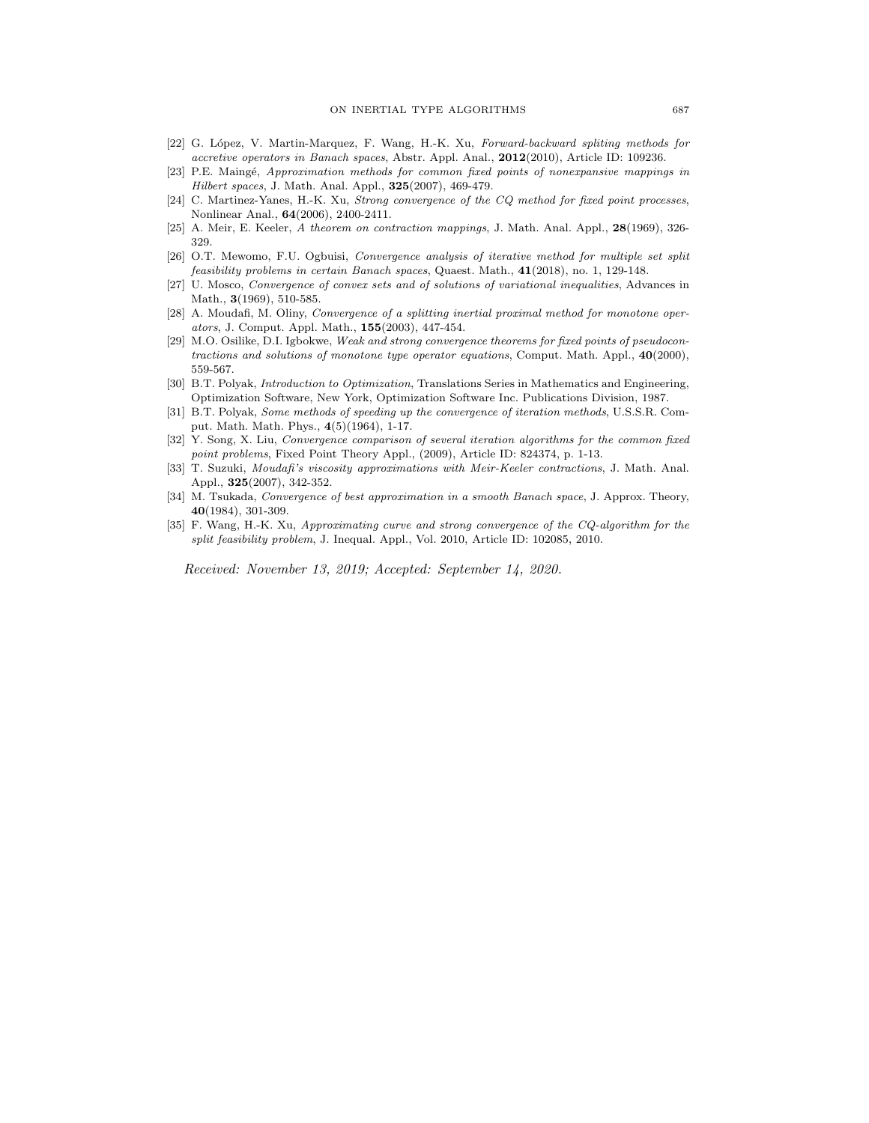- [22] G. López, V. Martin-Marquez, F. Wang, H.-K. Xu, Forward-backward spliting methods for accretive operators in Banach spaces, Abstr. Appl. Anal., 2012(2010), Article ID: 109236.
- [23] P.E. Maingé, Approximation methods for common fixed points of nonexpansive mappings in Hilbert spaces, J. Math. Anal. Appl., 325(2007), 469-479.
- [24] C. Martinez-Yanes, H.-K. Xu, Strong convergence of the CQ method for fixed point processes, Nonlinear Anal., 64(2006), 2400-2411.
- [25] A. Meir, E. Keeler, A theorem on contraction mappings, J. Math. Anal. Appl., 28(1969), 326-329.
- [26] O.T. Mewomo, F.U. Ogbuisi, Convergence analysis of iterative method for multiple set split feasibility problems in certain Banach spaces, Quaest. Math., 41(2018), no. 1, 129-148.
- [27] U. Mosco, Convergence of convex sets and of solutions of variational inequalities, Advances in Math., 3(1969), 510-585.
- [28] A. Moudafi, M. Oliny, Convergence of a splitting inertial proximal method for monotone operators, J. Comput. Appl. Math., 155(2003), 447-454.
- [29] M.O. Osilike, D.I. Igbokwe, Weak and strong convergence theorems for fixed points of pseudocontractions and solutions of monotone type operator equations, Comput. Math. Appl., 40(2000), 559-567.
- [30] B.T. Polyak, Introduction to Optimization, Translations Series in Mathematics and Engineering, Optimization Software, New York, Optimization Software Inc. Publications Division, 1987.
- [31] B.T. Polyak, Some methods of speeding up the convergence of iteration methods, U.S.S.R. Comput. Math. Math. Phys., 4(5)(1964), 1-17.
- [32] Y. Song, X. Liu, Convergence comparison of several iteration algorithms for the common fixed point problems, Fixed Point Theory Appl., (2009), Article ID: 824374, p. 1-13.
- [33] T. Suzuki, Moudafi's viscosity approximations with Meir-Keeler contractions, J. Math. Anal. Appl., 325(2007), 342-352.
- [34] M. Tsukada, Convergence of best approximation in a smooth Banach space, J. Approx. Theory, 40(1984), 301-309.
- [35] F. Wang, H.-K. Xu, Approximating curve and strong convergence of the CQ-algorithm for the split feasibility problem, J. Inequal. Appl., Vol. 2010, Article ID: 102085, 2010.

Received: November 13, 2019; Accepted: September 14, 2020.